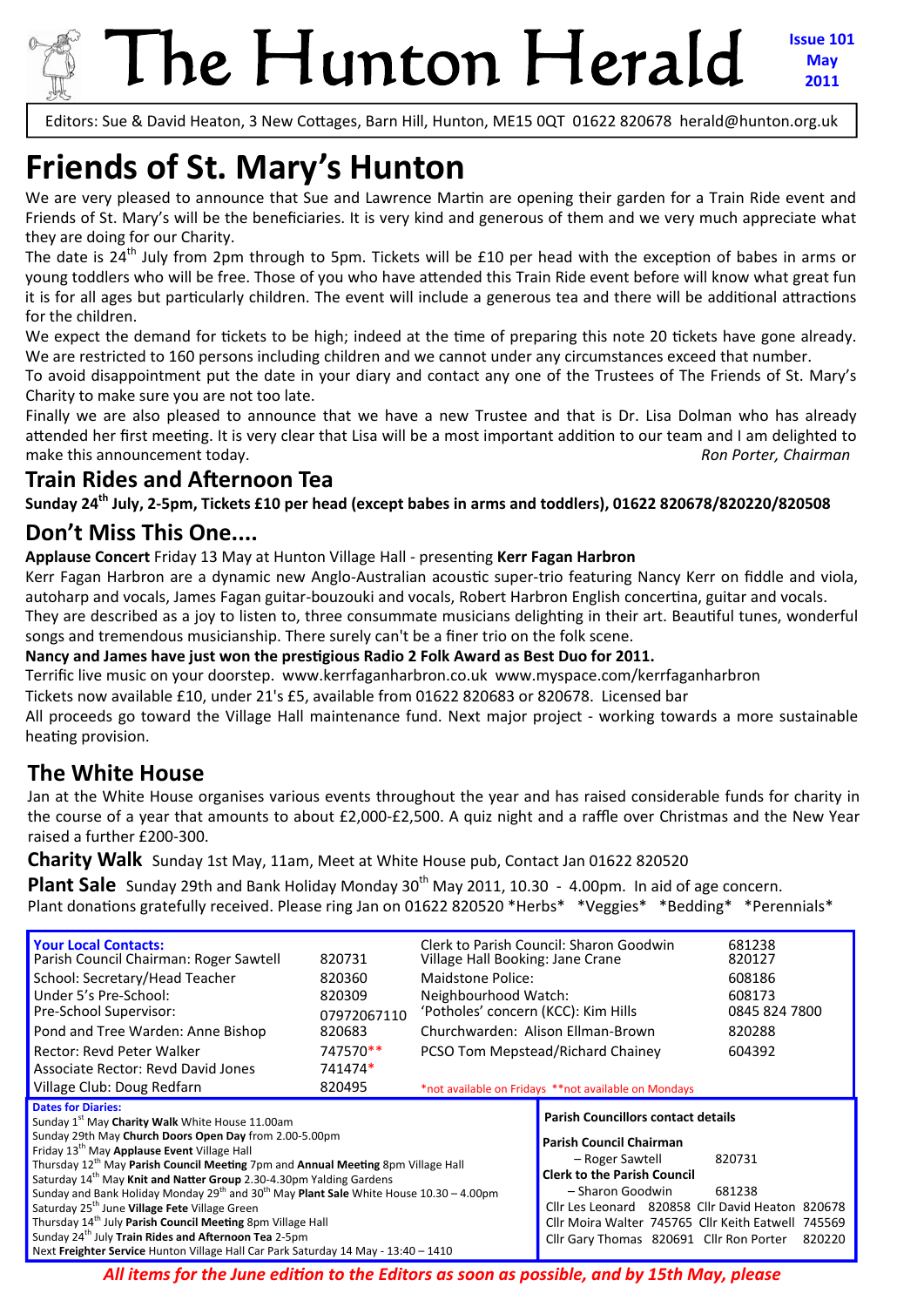

Editors: Sue & David Heaton, 3 New Cottages, Barn Hill, Hunton, ME15 0QT 01622 820678 herald@hunton.org.uk

# **Friends of St. Mary's Hunton**

We are very pleased to announce that Sue and Lawrence Martin are opening their garden for a Train Ride event and Friends of St. Mary's will be the beneficiaries. It is very kind and generous of them and we very much appreciate what they are doing for our Charity.

The date is 24<sup>th</sup> July from 2pm through to 5pm. Tickets will be £10 per head with the exception of babes in arms or young toddlers who will be free. Those of you who have attended this Train Ride event before will know what great fun it is for all ages but particularly children. The event will include a generous tea and there will be additional attractions for the children.

We expect the demand for tickets to be high; indeed at the time of preparing this note 20 tickets have gone already. We are restricted to 160 persons including children and we cannot under any circumstances exceed that number.

To avoid disappointment put the date in your diary and contact any one of the Trustees of The Friends of St. Mary's Charity to make sure you are not too late.

Finally we are also pleased to announce that we have a new Trustee and that is Dr. Lisa Dolman who has already attended her first meeting. It is very clear that Lisa will be a most important addition to our team and I am delighted to make this announcement today. The same of the same of the same of the same of the same of the same of the same of the same of the same of the same of the same of the same of the same of the same of the same of the same of

### **Train Rides and Afternoon Tea**

Sunday 24<sup>th</sup> July, 2-5pm, Tickets £10 per head (except babes in arms and toddlers), 01622 820678/820220/820508

### **Don't Miss This One....**

**Applause Concert** Friday 13 May at Hunton Village Hall ‐ presenƟng **Kerr Fagan Harbron**

Kerr Fagan Harbron are a dynamic new Anglo-Australian acoustic super-trio featuring Nancy Kerr on fiddle and viola, autoharp and vocals, James Fagan guitar-bouzouki and vocals, Robert Harbron English concertina, guitar and vocals.

They are described as a joy to listen to, three consummate musicians delighting in their art. Beautiful tunes, wonderful songs and tremendous musicianship. There surely can't be a finer trio on the folk scene.

**Nancy and James have just won the presƟgious Radio 2 Folk Award as Best Duo for 2011.**

Terrific live music on your doorstep. www.kerrfaganharbron.co.uk www.myspace.com/kerrfaganharbron

Tickets now available £10, under 21's £5, available from 01622 820683 or 820678. Licensed bar

All proceeds go toward the Village Hall maintenance fund. Next major project - working towards a more sustainable heating provision.

# **The White House**

Jan at the White House organises various events throughout the year and has raised considerable funds for charity in the course of a year that amounts to about £2,000-£2,500. A quiz night and a raffle over Christmas and the New Year raised a further £200‐300.

**Charity Walk** Sunday 1st May, 11am, Meet at White House pub, Contact Jan 01622 820520

**Plant Sale** Sunday 29th and Bank Holiday Monday 30<sup>th</sup> May 2011, 10.30 - 4.00pm. In aid of age concern. Plant donations gratefully received. Please ring Jan on 01622 820520 \*Herbs\* \*Veggies\* \*Bedding\* \*Perennials\*

| <b>Your Local Contacts:</b><br>Parish Council Chairman: Roger Sawtell<br>School: Secretary/Head Teacher<br>Under 5's Pre-School:<br>Pre-School Supervisor:<br>Pond and Tree Warden: Anne Bishop<br>Rector: Revd Peter Walker<br>Associate Rector: Revd David Jones<br>Village Club: Doug Redfarn                                                                                                                                                                                                                                                                                                                                            | 820731<br>820360<br>820309<br>07972067110<br>820683<br>747570**<br>741474*<br>820495                                                                                                                                                                        | Village Hall Booking: Jane Crane<br>Maidstone Police:<br>Neighbourhood Watch:<br>'Potholes' concern (KCC): Kim Hills<br>Churchwarden: Alison Ellman-Brown | Clerk to Parish Council: Sharon Goodwin<br>PCSO Tom Mepstead/Richard Chainey<br>*not available on Fridays **not available on Mondays | 681238<br>820127<br>608186<br>608173<br>0845 824 7800<br>820288<br>604392 |
|---------------------------------------------------------------------------------------------------------------------------------------------------------------------------------------------------------------------------------------------------------------------------------------------------------------------------------------------------------------------------------------------------------------------------------------------------------------------------------------------------------------------------------------------------------------------------------------------------------------------------------------------|-------------------------------------------------------------------------------------------------------------------------------------------------------------------------------------------------------------------------------------------------------------|-----------------------------------------------------------------------------------------------------------------------------------------------------------|--------------------------------------------------------------------------------------------------------------------------------------|---------------------------------------------------------------------------|
| <b>Dates for Diaries:</b><br>Sunday 1 <sup>st</sup> May Charity Walk White House 11.00am<br>Sunday 29th May Church Doors Open Day from 2.00-5.00pm<br>Friday 13 <sup>th</sup> May Applause Event Village Hall<br>Thursday 12 <sup>th</sup> May Parish Council Meeting 7pm and Annual Meeting 8pm Village Hall<br>Saturday 14 <sup>th</sup> May Knit and Natter Group 2.30-4.30pm Yalding Gardens<br>Sunday and Bank Holiday Monday $29^{th}$ and $30^{th}$ May Plant Sale White House 10.30 - 4.00pm<br>Saturday 25 <sup>th</sup> June Village Fete Village Green<br>Thursday 14 <sup>th</sup> July Parish Council Meeting 8pm Village Hall | <b>Parish Councillors contact details</b><br>Parish Council Chairman<br>- Roger Sawtell<br><b>Clerk to the Parish Council</b><br>- Sharon Goodwin<br>Cllr Les Leonard 820858 Cllr David Heaton 820678<br>Cllr Moira Walter 745765 Cllr Keith Eatwell 745569 | 820731<br>681238                                                                                                                                          |                                                                                                                                      |                                                                           |
| Sunday 24 <sup>th</sup> July Train Rides and Afternoon Tea 2-5pm<br>Next Freighter Service Hunton Village Hall Car Park Saturday 14 May - 13:40 - 1410                                                                                                                                                                                                                                                                                                                                                                                                                                                                                      | Cllr Gary Thomas 820691 Cllr Ron Porter                                                                                                                                                                                                                     | 820220                                                                                                                                                    |                                                                                                                                      |                                                                           |

*All items for the June ediƟon to the Editors as soon as possible, and by 15th May, please*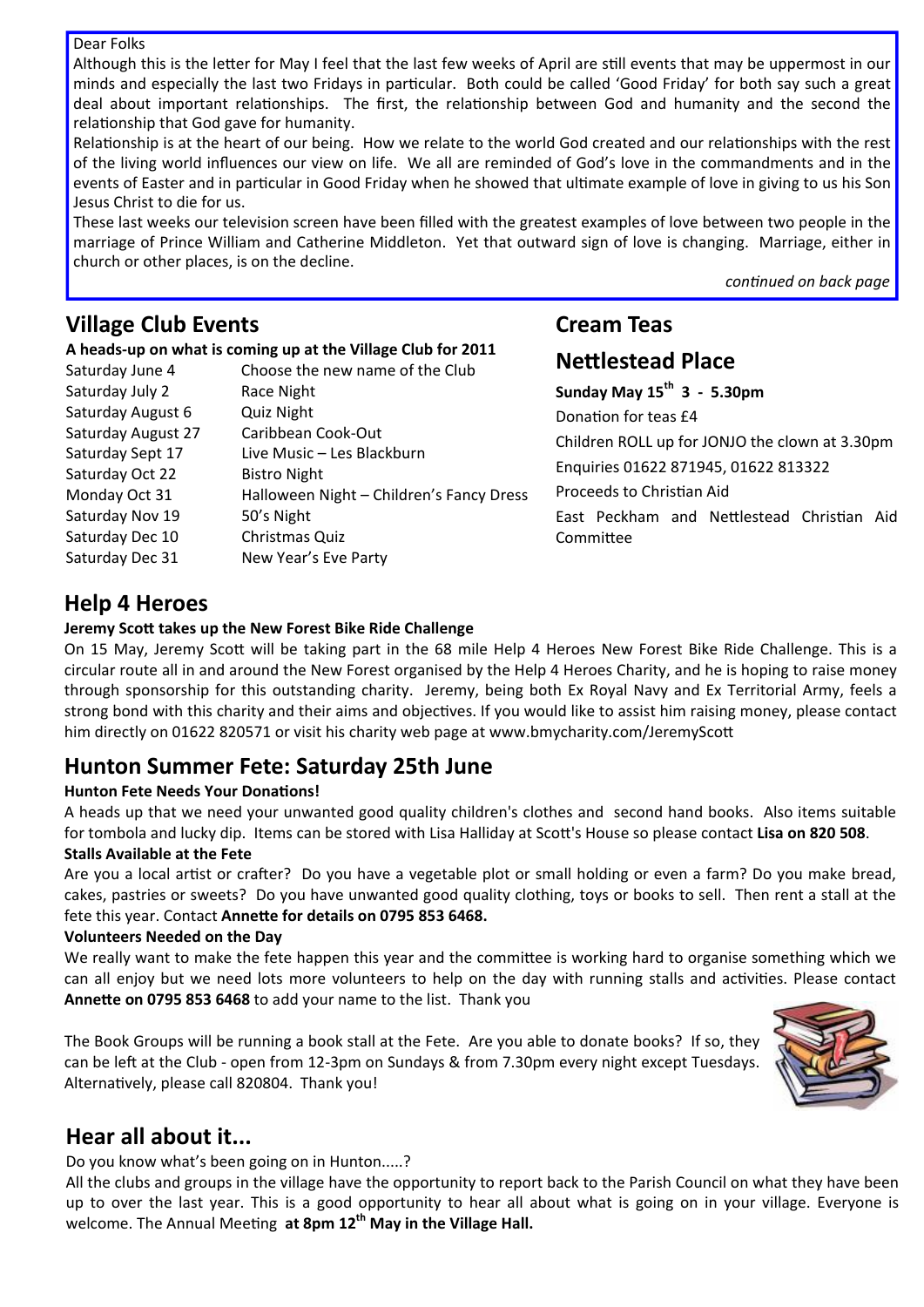#### Dear Folks

Although this is the letter for May I feel that the last few weeks of April are still events that may be uppermost in our minds and especially the last two Fridays in particular. Both could be called 'Good Friday' for both say such a great deal about important relationships. The first, the relationship between God and humanity and the second the relationship that God gave for humanity.

Relationship is at the heart of our being. How we relate to the world God created and our relationships with the rest of the living world influences our view on life. We all are reminded of God's love in the commandments and in the events of Easter and in particular in Good Friday when he showed that ultimate example of love in giving to us his Son Jesus Christ to die for us.

These last weeks our television screen have been filled with the greatest examples of love between two people in the marriage of Prince William and Catherine Middleton. Yet that outward sign of love is changing. Marriage, either in church or other places, is on the decline.

*conƟnued on back page*

### **Village Club Events**

#### **A heads‐up on what is coming up at the Village Club for 2011**

| Saturday June 4    | Choose the new name of the Club          |
|--------------------|------------------------------------------|
| Saturday July 2    | Race Night                               |
| Saturday August 6  | <b>Quiz Night</b>                        |
| Saturday August 27 | Caribbean Cook-Out                       |
| Saturday Sept 17   | Live Music - Les Blackburn               |
| Saturday Oct 22    | <b>Bistro Night</b>                      |
| Monday Oct 31      | Halloween Night - Children's Fancy Dress |
| Saturday Nov 19    | 50's Night                               |
| Saturday Dec 10    | Christmas Quiz                           |
| Saturday Dec 31    | New Year's Eve Party                     |

# **Cream Teas NeƩlestead Place**

**Sunday May 15th 3 ‐ 5.30pm** Donation for teas £4 Children ROLL up for JONJO the clown at 3.30pm Enquiries 01622 871945, 01622 813322 Proceeds to Christian Aid East Peckham and Nettlestead Christian Aid CommiƩee

### **Help 4 Heroes**

#### **Jeremy ScoƩ takes up the New Forest Bike Ride Challenge**

On 15 May, Jeremy Scott will be taking part in the 68 mile Help 4 Heroes New Forest Bike Ride Challenge. This is a circular route all in and around the New Forest organised by the Help 4 Heroes Charity, and he is hoping to raise money through sponsorship for this outstanding charity. Jeremy, being both Ex Royal Navy and Ex Territorial Army, feels a strong bond with this charity and their aims and objectives. If you would like to assist him raising money, please contact him directly on 01622 820571 or visit his charity web page at www.bmycharity.com/JeremyScott

### **Hunton Summer Fete: Saturday 25th June**

#### **Hunton Fete Needs Your DonaƟons!**

A heads up that we need your unwanted good quality children's clothes and second hand books. Also items suitable for tombola and lucky dip. Items can be stored with Lisa Halliday at ScoƩ's House so please contact **Lisa on 820 508**. **Stalls Available at the Fete**

Are you a local artist or crafter? Do you have a vegetable plot or small holding or even a farm? Do you make bread, cakes, pastries or sweets? Do you have unwanted good quality clothing, toys or books to sell. Then rent a stall at the fete this year. Contact **AnneƩe for details on 0795 853 6468.**

#### **Volunteers Needed on the Day**

We really want to make the fete happen this year and the committee is working hard to organise something which we can all enjoy but we need lots more volunteers to help on the day with running stalls and activities. Please contact **AnneƩe on 0795 853 6468** to add your name to the list. Thank you

The Book Groups will be running a book stall at the Fete. Are you able to donate books? If so, they can be left at the Club - open from 12-3pm on Sundays & from 7.30pm every night except Tuesdays. Alternatively, please call 820804. Thank you!



# **Hear all about it...**

Do you know what's been going on in Hunton.....?

All the clubs and groups in the village have the opportunity to report back to the Parish Council on what they have been up to over the last year. This is a good opportunity to hear all about what is going on in your village. Everyone is welcome. The Annual MeeƟng **at 8pm 12th May in the Village Hall.**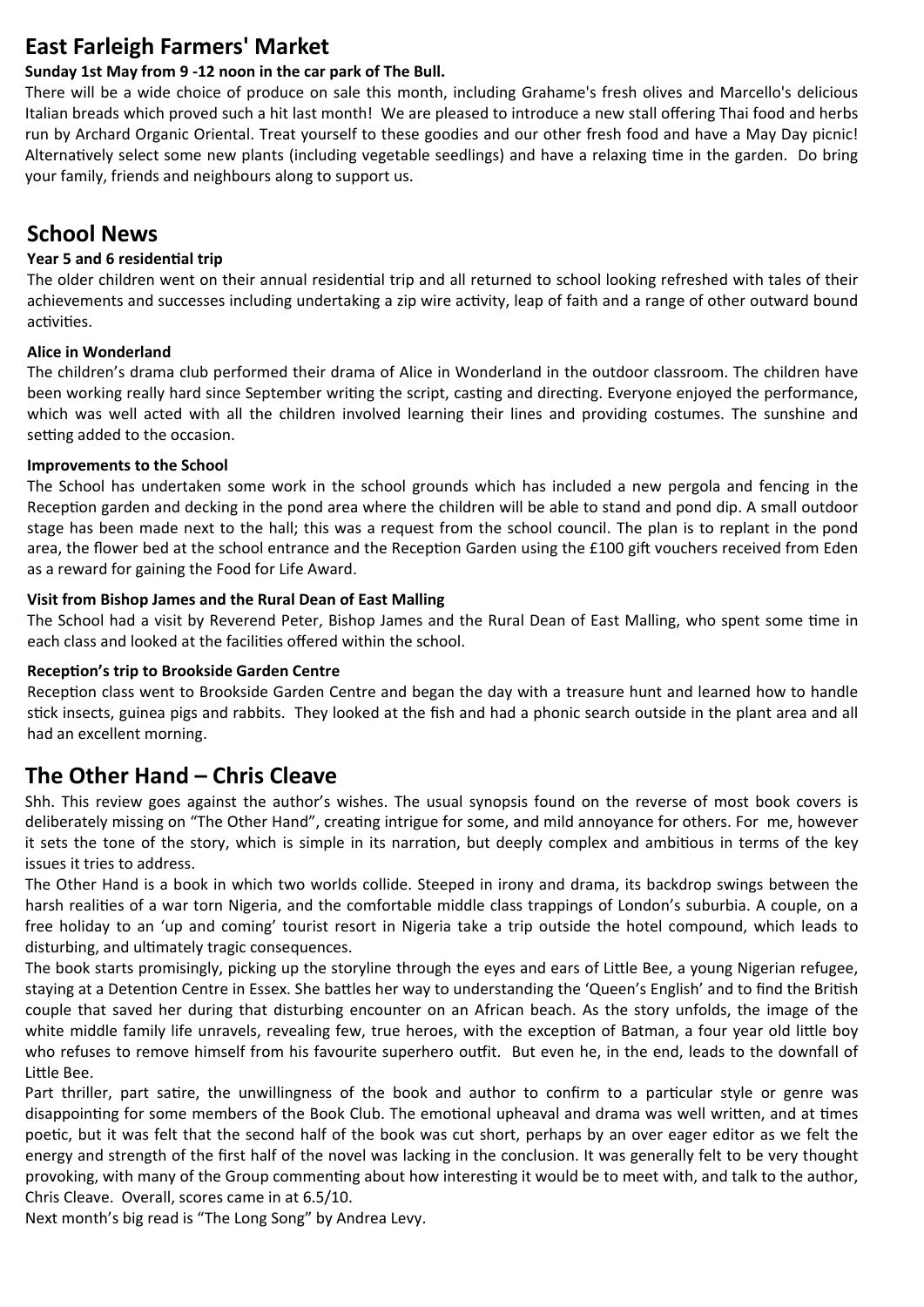### **East Farleigh Farmers' Market**

### **Sunday 1st May from 9 ‐12 noon in the car park of The Bull.**

There will be a wide choice of produce on sale this month, including Grahame's fresh olives and Marcello's delicious Italian breads which proved such a hit last month! We are pleased to introduce a new stall offering Thai food and herbs run by Archard Organic Oriental. Treat yourself to these goodies and our other fresh food and have a May Day picnic! Alternatively select some new plants (including vegetable seedlings) and have a relaxing time in the garden. Do bring your family, friends and neighbours along to support us.

### **School News**

#### **Year 5 and 6 residenƟal trip**

The older children went on their annual residential trip and all returned to school looking refreshed with tales of their achievements and successes including undertaking a zip wire activity, leap of faith and a range of other outward bound activities.

### **Alice in Wonderland**

The children's drama club performed their drama of Alice in Wonderland in the outdoor classroom. The children have been working really hard since September writing the script, casting and directing. Everyone enjoyed the performance, which was well acted with all the children involved learning their lines and providing costumes. The sunshine and setting added to the occasion.

### **Improvements to the School**

The School has undertaken some work in the school grounds which has included a new pergola and fencing in the Reception garden and decking in the pond area where the children will be able to stand and pond dip. A small outdoor stage has been made next to the hall; this was a request from the school council. The plan is to replant in the pond area, the flower bed at the school entrance and the Reception Garden using the £100 gift vouchers received from Eden as a reward for gaining the Food for Life Award.

### **Visit from Bishop James and the Rural Dean of East Malling**

The School had a visit by Reverend Peter, Bishop James and the Rural Dean of East Malling, who spent some time in each class and looked at the facilities offered within the school.

### **RecepƟon's trip to Brookside Garden Centre**

Reception class went to Brookside Garden Centre and began the day with a treasure hunt and learned how to handle stick insects, guinea pigs and rabbits. They looked at the fish and had a phonic search outside in the plant area and all had an excellent morning.

# **The Other Hand – Chris Cleave**

Shh. This review goes against the author's wishes. The usual synopsis found on the reverse of most book covers is deliberately missing on "The Other Hand", creating intrigue for some, and mild annoyance for others. For me, however it sets the tone of the story, which is simple in its narration, but deeply complex and ambitious in terms of the key issues it tries to address.

The Other Hand is a book in which two worlds collide. Steeped in irony and drama, its backdrop swings between the harsh realities of a war torn Nigeria, and the comfortable middle class trappings of London's suburbia. A couple, on a free holiday to an 'up and coming' tourist resort in Nigeria take a trip outside the hotel compound, which leads to disturbing, and ultimately tragic consequences.

The book starts promisingly, picking up the storyline through the eyes and ears of Little Bee, a young Nigerian refugee, staying at a Detention Centre in Essex. She battles her way to understanding the 'Queen's English' and to find the British couple that saved her during that disturbing encounter on an African beach. As the story unfolds, the image of the white middle family life unravels, revealing few, true heroes, with the exception of Batman, a four year old little boy who refuses to remove himself from his favourite superhero outfit. But even he, in the end, leads to the downfall of Little Bee.

Part thriller, part satire, the unwillingness of the book and author to confirm to a particular style or genre was disappointing for some members of the Book Club. The emotional upheaval and drama was well written, and at times poetic, but it was felt that the second half of the book was cut short, perhaps by an over eager editor as we felt the energy and strength of the first half of the novel was lacking in the conclusion. It was generally felt to be very thought provoking, with many of the Group commenting about how interesting it would be to meet with, and talk to the author, Chris Cleave. Overall, scores came in at 6.5/10.

Next month's big read is "The Long Song" by Andrea Levy.